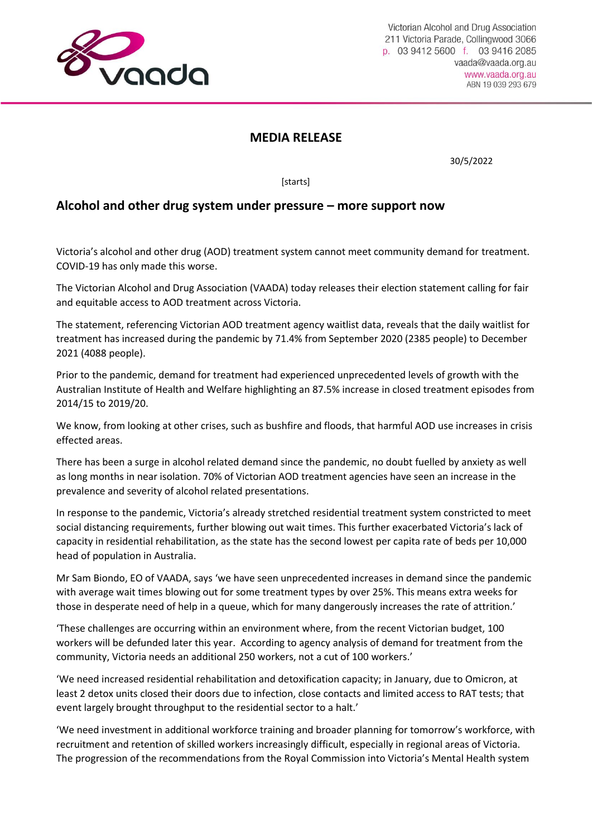

## **MEDIA RELEASE**

30/5/2022

**[starts]** 

## **Alcohol and other drug system under pressure – more support now**

Victoria's alcohol and other drug (AOD) treatment system cannot meet community demand for treatment. COVID-19 has only made this worse.

The Victorian Alcohol and Drug Association (VAADA) today releases their election statement calling for fair and equitable access to AOD treatment across Victoria.

The statement, referencing Victorian AOD treatment agency waitlist data, reveals that the daily waitlist for treatment has increased during the pandemic by 71.4% from September 2020 (2385 people) to December 2021 (4088 people).

Prior to the pandemic, demand for treatment had experienced unprecedented levels of growth with the Australian Institute of Health and Welfare highlighting an 87.5% increase in closed treatment episodes from 2014/15 to 2019/20.

We know, from looking at other crises, such as bushfire and floods, that harmful AOD use increases in crisis effected areas.

There has been a surge in alcohol related demand since the pandemic, no doubt fuelled by anxiety as well as long months in near isolation. 70% of Victorian AOD treatment agencies have seen an increase in the prevalence and severity of alcohol related presentations.

In response to the pandemic, Victoria's already stretched residential treatment system constricted to meet social distancing requirements, further blowing out wait times. This further exacerbated Victoria's lack of capacity in residential rehabilitation, as the state has the second lowest per capita rate of beds per 10,000 head of population in Australia.

Mr Sam Biondo, EO of VAADA, says 'we have seen unprecedented increases in demand since the pandemic with average wait times blowing out for some treatment types by over 25%. This means extra weeks for those in desperate need of help in a queue, which for many dangerously increases the rate of attrition.'

'These challenges are occurring within an environment where, from the recent Victorian budget, 100 workers will be defunded later this year. According to agency analysis of demand for treatment from the community, Victoria needs an additional 250 workers, not a cut of 100 workers.'

'We need increased residential rehabilitation and detoxification capacity; in January, due to Omicron, at least 2 detox units closed their doors due to infection, close contacts and limited access to RAT tests; that event largely brought throughput to the residential sector to a halt.'

'We need investment in additional workforce training and broader planning for tomorrow's workforce, with recruitment and retention of skilled workers increasingly difficult, especially in regional areas of Victoria. The progression of the recommendations from the Royal Commission into Victoria's Mental Health system